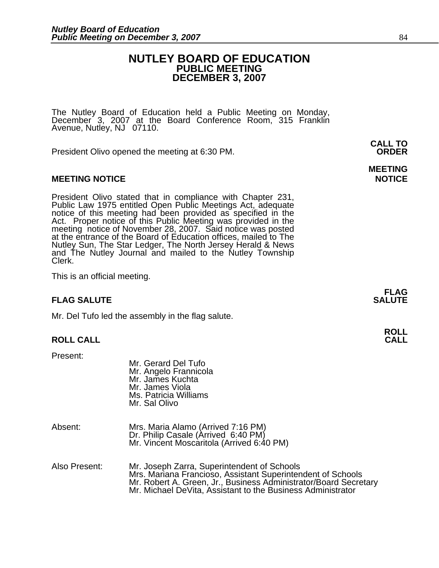### **NUTLEY BOARD OF EDUCATION PUBLIC MEETING DECEMBER 3, 2007**

The Nutley Board of Education held a Public Meeting on Monday,<br>December 3, 2007 at the Board Conference Room, 315 Franklin Avenue, Nutley, NJ 07110.

President Olivo opened the meeting at 6:30 PM. **ORDER**

### **MEETING NOTICE NOTICE REPORTS AND ALCOHOL**

President Olivo stated that in compliance with Chapter 231,<br>Public Law 1975 entitled Open Public Meetings Act, adequate<br>notice of this meeting had been provided as specified in the<br>Act. Proper notice of this Public Meeting Nutley Sun, The Star Ledger, The North Jersey Herald & News and The Nutley Journal and mailed to the Nutley Township Clerk.

This is an official meeting.

### **FLAG FLAG SALUTE** SALUTE SALUTE SALUTE SALUTE SALUTE SALUTE SALUTE SALUTE SALUTE SALUTE SALUTE SALUTE SALUTE SALUTE SALUTE

Mr. Del Tufo led the assembly in the flag salute.

### **ROLL CALL**

Present:

|               | Mr. Gerard Del Tufo<br>Mr. Angelo Frannicola<br>Mr. James Kuchta<br>Mr. James Viola<br>Ms. Patricia Williams<br>Mr. Sal Olivo                                                                                                                 |
|---------------|-----------------------------------------------------------------------------------------------------------------------------------------------------------------------------------------------------------------------------------------------|
| Absent:       | Mrs. Maria Alamo (Arrived 7:16 PM)<br>Dr. Philip Casale (Arrived 6:40 PM)<br>Mr. Vincent Moscaritola (Arrived 6:40 PM)                                                                                                                        |
| Also Present: | Mr. Joseph Zarra, Superintendent of Schools<br>Mrs. Mariana Francioso, Assistant Superintendent of Schools<br>Mr. Robert A. Green, Jr., Business Administrator/Board Secretary<br>Mr. Michael DeVita, Assistant to the Business Administrator |

**CALL TO** 

# **MEETING**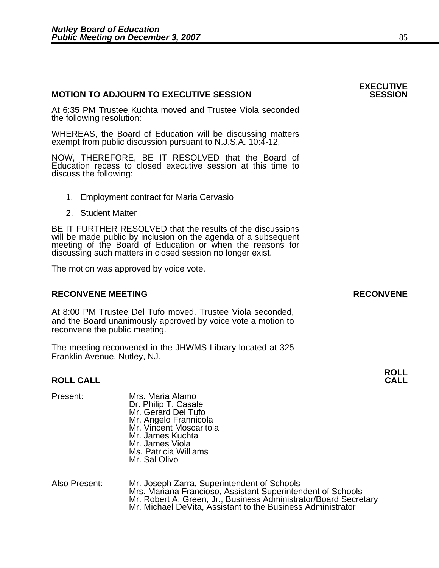### **MOTION TO ADJOURN TO EXECUTIVE SESSION**

At 6:35 PM Trustee Kuchta moved and Trustee Viola seconded the following resolution:

WHEREAS, the Board of Education will be discussing matters exempt from public discussion pursuant to N.J.S.A. 10:4-12,

NOW, THEREFORE, BE IT RESOLVED that the Board of Education recess to closed executive session at this time to discuss the following:

- 1. Employment contract for Maria Cervasio
- 2. Student Matter

BE IT FURTHER RESOLVED that the results of the discussions will be made public by inclusion on the agenda of a subsequent meeting of the Board of Education or when the reasons for discussing such matters in closed session no longer exist.

The motion was approved by voice vote.

### **RECONVENE MEETING RECONVENE**

At 8:00 PM Trustee Del Tufo moved, Trustee Viola seconded, and the Board unanimously approved by voice vote a motion to reconvene the public meeting.

The meeting reconvened in the JHWMS Library located at 325 Franklin Avenue, Nutley, NJ.

### **ROLL CALL CALL**

- Present: Mrs. Maria Alamo<br>Dr. Philip T. Casale Mr. Gerard Del Tufo<br>Mr. Angelo Frannicola Mr. Vincent Moscaritola Mr. James Kuchta Mr. James Viola Ms. Patricia Williams Mr. Sal Olivo
- Also Present: Mr. Joseph Zarra, Superintendent of Schools Mr. Robert A. Green, Jr., Business Administrator/Board Secretary Mr. Robert A. Green, Jr., Business Administrator/Board Secretary

## **ROLL**

# **EXECUTIVE**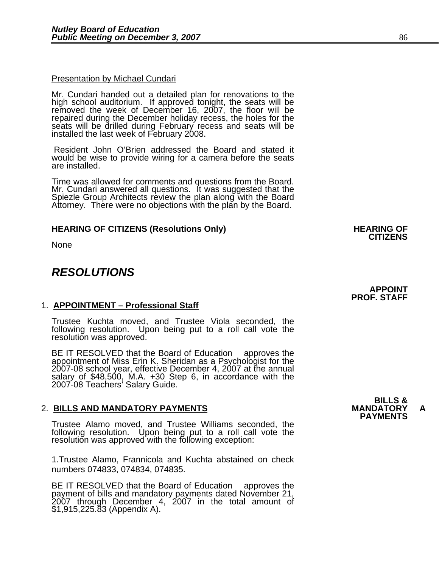### **Presentation by Michael Cundari**

Mr. Cundari handed out a detailed plan for renovations to the high school auditorium. If approved tonight, the seats will be removed the week of December 16, 2007, the floor will be seats will be drilled during February recess and seats will be installed the last week of February 2008.

 Resident John O'Brien addressed the Board and stated it would be wise to provide wiring for a camera before the seats are installed.

Time was allowed for comments and questions from the Board.<br>Mr. Cundari answered all questions. It was suggested that the<br>Spiezle Group Architects review the plan along with the Board<br>Attorney. There were no objections wit

### **HEARING OF CITIZENS (Resolutions Only) HEARING OF CITIZENS**

None

٦

### *RESOLUTIONS*

### 1. **APPOINTMENT – Professional Staff**

Trustee Kuchta moved, and Trustee Viola seconded, the following resolution. Upon being put to a roll call vote the resolution was approved.

BE IT RESOLVED that the Board of Education approves the appointment of Miss Erin K. Sheridan as a Psychologist for the 2007-08 school year, effective December 4, 2007 at the annual salary of \$48,500, M.A. +30 Step 6, in accordance with the 2007-08 Teachers' Salary Guide.

## 2. **BILLS AND MANDATORY PAYMENTS MANDATORY A PAYMENTS**

Trustee Alamo moved, and Trustee Williams seconded, the following resolution. Upon being put to a roll call vote the resolution was approved with the following exception:

1.Trustee Alamo, Frannicola and Kuchta abstained on check numbers 074833, 074834, 074835.

BE IT RESOLVED that the Board of Education approves the payment of bills and mandatory payments dated November 21, 2007 through December 4, 2007 in the total amount of \$1,915,225.83 (Appendix A).

**BILLS &**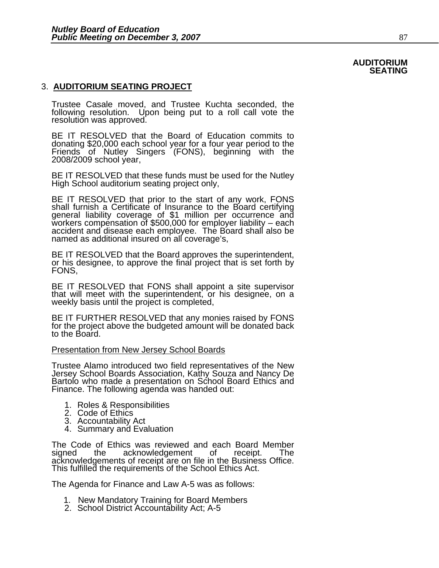### **AUDITORIUM SEATING**

### 3. **AUDITORIUM SEATING PROJECT**

Trustee Casale moved, and Trustee Kuchta seconded, the following resolution. Upon being put to a roll call vote the resolution was approved.

BE IT RESOLVED that the Board of Education commits to donating \$20,000 each school year for a four year period to the Friends of Nutley Singers (FONS), beginning with the 2008/2009 school year,

BE IT RESOLVED that these funds must be used for the Nutley High School auditorium seating project only,

BE IT RESOLVED that prior to the start of any work, FONS<br>shall furnish a Certificate of Insurance to the Board certifying<br>general liability coverage of \$1 million per occurrence and workers compensation of \$500,000 for employer liability – each<br>accident and disease each employee. The Board shall also be named as additional insured on all coverage's,

BE IT RESOLVED that the Board approves the superintendent, or his designee, to approve the final project that is set forth by FONS,

BE IT RESOLVED that FONS shall appoint a site supervisor that will meet with the superintendent, or his designee, on a weekly basis until the project is completed,

BE IT FURTHER RESOLVED that any monies raised by FONS for the project above the budgeted amount will be donated back to the Board.

### Presentation from New Jersey School Boards

Trustee Alamo introduced two field representatives of the New<br>Jersey School Boards Association, Kathy Souza and Nancy De<br>Bartolo who made a presentation on School Board Ethics and Finance. The following agenda was handed out:

- 1. Roles & Responsibilities
- 2. Code of Ethics
- 3. Accountability Act
- 4. Summary and Evaluation

The Code of Ethics was reviewed and each Board Member<br>signed the acknowledgement of receipt. The acknowledgement acknowledgements of receipt are on file in the Business Office. This fulfilled the requirements of the School Ethics Act.

The Agenda for Finance and Law A-5 was as follows:

- 1. New Mandatory Training for Board Members 2. School District Accountability Act; A-5
-